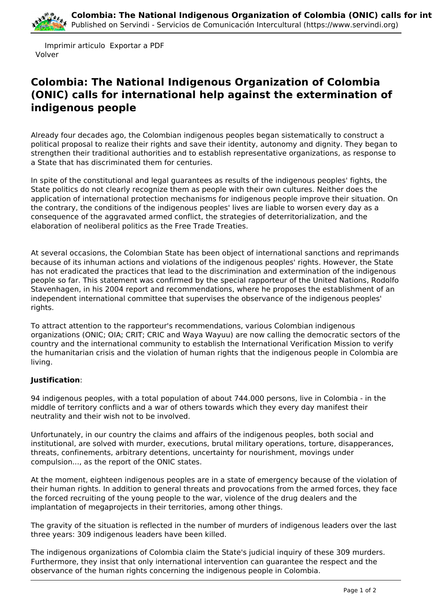

 Imprimir articulo Exportar a PDF Volver

## **Colombia: The National Indigenous Organization of Colombia (ONIC) calls for international help against the extermination of indigenous people**

Already four decades ago, the Colombian indigenous peoples began sistematically to construct a political proposal to realize their rights and save their identity, autonomy and dignity. They began to strengthen their traditional authorities and to establish representative organizations, as response to a State that has discriminated them for centuries.

In spite of the constitutional and legal guarantees as results of the indigenous peoples' fights, the State politics do not clearly recognize them as people with their own cultures. Neither does the application of international protection mechanisms for indigenous people improve their situation. On the contrary, the conditions of the indigenous peoples' lives are liable to worsen every day as a consequence of the aggravated armed conflict, the strategies of deterritorialization, and the elaboration of neoliberal politics as the Free Trade Treaties.

At several occasions, the Colombian State has been object of international sanctions and reprimands because of its inhuman actions and violations of the indigenous peoples' rights. However, the State has not eradicated the practices that lead to the discrimination and extermination of the indigenous people so far. This statement was confirmed by the special rapporteur of the United Nations, Rodolfo Stavenhagen, in his 2004 report and recommendations, where he proposes the establishment of an independent international committee that supervises the observance of the indigenous peoples' rights.

To attract attention to the rapporteur's recommendations, various Colombian indigenous organizations (ONIC; OIA; CRIT; CRIC and Waya Wayuu) are now calling the democratic sectors of the country and the international community to establish the International Verification Mission to verify the humanitarian crisis and the violation of human rights that the indigenous people in Colombia are living.

## **Justification**:

94 indigenous peoples, with a total population of about 744.000 persons, live in Colombia - in the middle of territory conflicts and a war of others towards which they every day manifest their neutrality and their wish not to be involved.

Unfortunately, in our country the claims and affairs of the indigenous peoples, both social and institutional, are solved with murder, executions, brutal military operations, torture, disapperances, threats, confinements, arbitrary detentions, uncertainty for nourishment, movings under compulsion..., as the report of the ONIC states.

At the moment, eighteen indigenous peoples are in a state of emergency because of the violation of their human rights. In addition to general threats and provocations from the armed forces, they face the forced recruiting of the young people to the war, violence of the drug dealers and the implantation of megaprojects in their territories, among other things.

The gravity of the situation is reflected in the number of murders of indigenous leaders over the last three years: 309 indigenous leaders have been killed.

The indigenous organizations of Colombia claim the State's judicial inquiry of these 309 murders. Furthermore, they insist that only international intervention can guarantee the respect and the observance of the human rights concerning the indigenous people in Colombia.